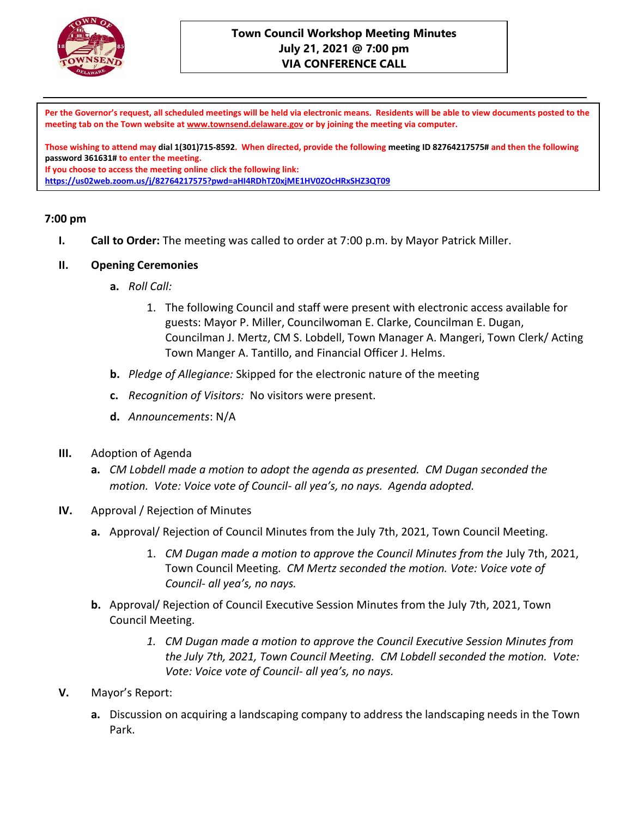

### **Town Council Workshop Meeting Minutes July 21, 2021 @ 7:00 pm VIA CONFERENCE CALL**

**Per the Governor's request, all scheduled meetings will be held via electronic means. Residents will be able to view documents posted to the meeting tab on the Town website at [www.townsend.delaware.gov](http://www.townsend.delaware.gov/) or by joining the meeting via computer.**

**Those wishing to attend may dial 1(301)715-8592. When directed, provide the following meeting ID 82764217575# and then the following password 361631# to enter the meeting. If you choose to access the meeting online click the following link:** 

**<https://us02web.zoom.us/j/82764217575?pwd=aHI4RDhTZ0xjME1HV0ZOcHRxSHZ3QT09>**

#### **7:00 pm**

**I. Call to Order:** The meeting was called to order at 7:00 p.m. by Mayor Patrick Miller.

#### **II. Opening Ceremonies**

- **a.** *Roll Call:* 
	- 1. The following Council and staff were present with electronic access available for guests: Mayor P. Miller, Councilwoman E. Clarke, Councilman E. Dugan, Councilman J. Mertz, CM S. Lobdell, Town Manager A. Mangeri, Town Clerk/ Acting Town Manger A. Tantillo, and Financial Officer J. Helms.
- **b.** *Pledge of Allegiance:* Skipped for the electronic nature of the meeting
- **c.** *Recognition of Visitors:* No visitors were present.
- **d.** *Announcements*: N/A
- **III.** Adoption of Agenda
	- **a.** *CM Lobdell made a motion to adopt the agenda as presented. CM Dugan seconded the motion. Vote: Voice vote of Council- all yea's, no nays. Agenda adopted.*
- **IV.** Approval / Rejection of Minutes
	- **a.** Approval/ Rejection of Council Minutes from the July 7th, 2021, Town Council Meeting.
		- 1. *CM Dugan made a motion to approve the Council Minutes from the* July 7th, 2021, Town Council Meeting*. CM Mertz seconded the motion. Vote: Voice vote of Council- all yea's, no nays.*
	- **b.** Approval/ Rejection of Council Executive Session Minutes from the July 7th, 2021, Town Council Meeting.
		- *1. CM Dugan made a motion to approve the Council Executive Session Minutes from the July 7th, 2021, Town Council Meeting. CM Lobdell seconded the motion. Vote: Vote: Voice vote of Council- all yea's, no nays.*
- **V.** Mayor's Report:
	- **a.** Discussion on acquiring a landscaping company to address the landscaping needs in the Town Park.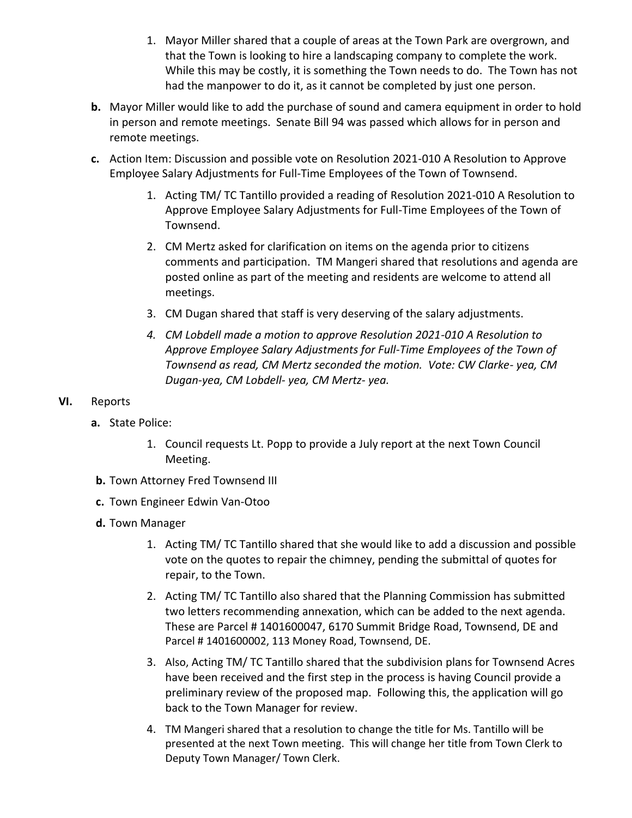- 1. Mayor Miller shared that a couple of areas at the Town Park are overgrown, and that the Town is looking to hire a landscaping company to complete the work. While this may be costly, it is something the Town needs to do. The Town has not had the manpower to do it, as it cannot be completed by just one person.
- **b.** Mayor Miller would like to add the purchase of sound and camera equipment in order to hold in person and remote meetings. Senate Bill 94 was passed which allows for in person and remote meetings.
- **c.** Action Item: Discussion and possible vote on Resolution 2021-010 A Resolution to Approve Employee Salary Adjustments for Full-Time Employees of the Town of Townsend.
	- 1. Acting TM/ TC Tantillo provided a reading of Resolution 2021-010 A Resolution to Approve Employee Salary Adjustments for Full-Time Employees of the Town of Townsend.
	- 2. CM Mertz asked for clarification on items on the agenda prior to citizens comments and participation. TM Mangeri shared that resolutions and agenda are posted online as part of the meeting and residents are welcome to attend all meetings.
	- 3. CM Dugan shared that staff is very deserving of the salary adjustments.
	- *4. CM Lobdell made a motion to approve Resolution 2021-010 A Resolution to Approve Employee Salary Adjustments for Full-Time Employees of the Town of Townsend as read, CM Mertz seconded the motion. Vote: CW Clarke- yea, CM Dugan-yea, CM Lobdell- yea, CM Mertz- yea.*
- **VI.** Reports
	- **a.** State Police:
		- 1. Council requests Lt. Popp to provide a July report at the next Town Council Meeting.
	- **b.** Town Attorney Fred Townsend III
	- **c.** Town Engineer Edwin Van-Otoo
	- **d.** Town Manager
		- 1. Acting TM/ TC Tantillo shared that she would like to add a discussion and possible vote on the quotes to repair the chimney, pending the submittal of quotes for repair, to the Town.
		- 2. Acting TM/ TC Tantillo also shared that the Planning Commission has submitted two letters recommending annexation, which can be added to the next agenda. These are Parcel # 1401600047, 6170 Summit Bridge Road, Townsend, DE and Parcel # 1401600002, 113 Money Road, Townsend, DE.
		- 3. Also, Acting TM/ TC Tantillo shared that the subdivision plans for Townsend Acres have been received and the first step in the process is having Council provide a preliminary review of the proposed map. Following this, the application will go back to the Town Manager for review.
		- 4. TM Mangeri shared that a resolution to change the title for Ms. Tantillo will be presented at the next Town meeting. This will change her title from Town Clerk to Deputy Town Manager/ Town Clerk.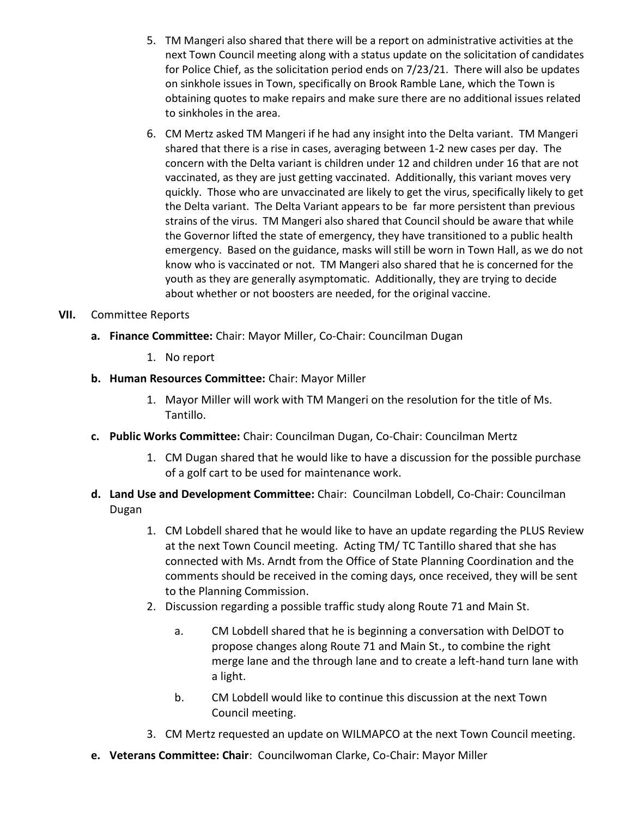- 5. TM Mangeri also shared that there will be a report on administrative activities at the next Town Council meeting along with a status update on the solicitation of candidates for Police Chief, as the solicitation period ends on 7/23/21. There will also be updates on sinkhole issues in Town, specifically on Brook Ramble Lane, which the Town is obtaining quotes to make repairs and make sure there are no additional issues related to sinkholes in the area.
- 6. CM Mertz asked TM Mangeri if he had any insight into the Delta variant. TM Mangeri shared that there is a rise in cases, averaging between 1-2 new cases per day. The concern with the Delta variant is children under 12 and children under 16 that are not vaccinated, as they are just getting vaccinated. Additionally, this variant moves very quickly. Those who are unvaccinated are likely to get the virus, specifically likely to get the Delta variant. The Delta Variant appears to be far more persistent than previous strains of the virus. TM Mangeri also shared that Council should be aware that while the Governor lifted the state of emergency, they have transitioned to a public health emergency. Based on the guidance, masks will still be worn in Town Hall, as we do not know who is vaccinated or not. TM Mangeri also shared that he is concerned for the youth as they are generally asymptomatic. Additionally, they are trying to decide about whether or not boosters are needed, for the original vaccine.

### **VII.** Committee Reports

- **a. Finance Committee:** Chair: Mayor Miller, Co-Chair: Councilman Dugan
	- 1. No report
- **b. Human Resources Committee:** Chair: Mayor Miller
	- 1. Mayor Miller will work with TM Mangeri on the resolution for the title of Ms. Tantillo.
- **c. Public Works Committee:** Chair: Councilman Dugan, Co-Chair: Councilman Mertz
	- 1. CM Dugan shared that he would like to have a discussion for the possible purchase of a golf cart to be used for maintenance work.
- **d. Land Use and Development Committee:** Chair: Councilman Lobdell, Co-Chair: Councilman Dugan
	- 1. CM Lobdell shared that he would like to have an update regarding the PLUS Review at the next Town Council meeting. Acting TM/ TC Tantillo shared that she has connected with Ms. Arndt from the Office of State Planning Coordination and the comments should be received in the coming days, once received, they will be sent to the Planning Commission.
	- 2. Discussion regarding a possible traffic study along Route 71 and Main St.
		- a. CM Lobdell shared that he is beginning a conversation with DelDOT to propose changes along Route 71 and Main St., to combine the right merge lane and the through lane and to create a left-hand turn lane with a light.
		- b. CM Lobdell would like to continue this discussion at the next Town Council meeting.
	- 3. CM Mertz requested an update on WILMAPCO at the next Town Council meeting.
- **e. Veterans Committee: Chair**: Councilwoman Clarke, Co-Chair: Mayor Miller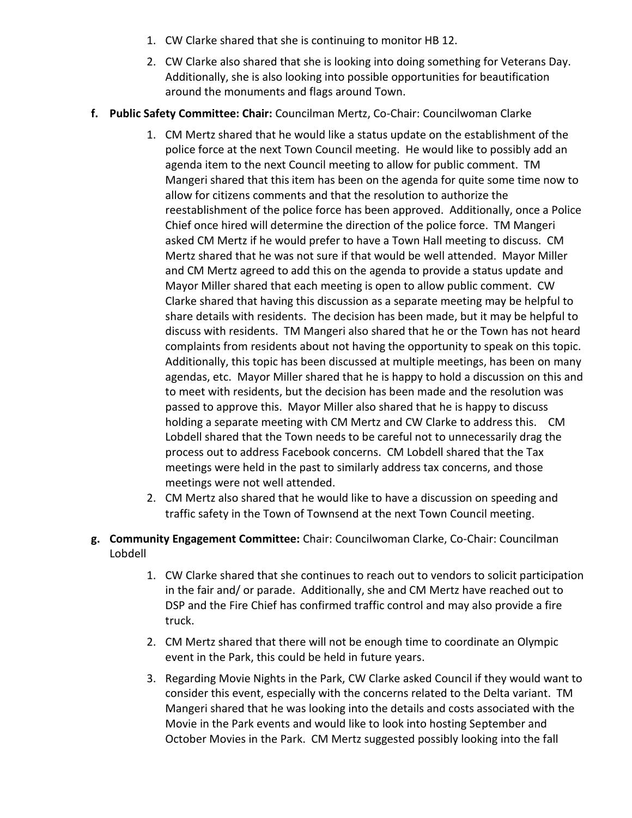- 1. CW Clarke shared that she is continuing to monitor HB 12.
- 2. CW Clarke also shared that she is looking into doing something for Veterans Day. Additionally, she is also looking into possible opportunities for beautification around the monuments and flags around Town.
- **f. Public Safety Committee: Chair:** Councilman Mertz, Co-Chair: Councilwoman Clarke
	- 1. CM Mertz shared that he would like a status update on the establishment of the police force at the next Town Council meeting. He would like to possibly add an agenda item to the next Council meeting to allow for public comment. TM Mangeri shared that this item has been on the agenda for quite some time now to allow for citizens comments and that the resolution to authorize the reestablishment of the police force has been approved. Additionally, once a Police Chief once hired will determine the direction of the police force. TM Mangeri asked CM Mertz if he would prefer to have a Town Hall meeting to discuss. CM Mertz shared that he was not sure if that would be well attended. Mayor Miller and CM Mertz agreed to add this on the agenda to provide a status update and Mayor Miller shared that each meeting is open to allow public comment. CW Clarke shared that having this discussion as a separate meeting may be helpful to share details with residents. The decision has been made, but it may be helpful to discuss with residents. TM Mangeri also shared that he or the Town has not heard complaints from residents about not having the opportunity to speak on this topic. Additionally, this topic has been discussed at multiple meetings, has been on many agendas, etc. Mayor Miller shared that he is happy to hold a discussion on this and to meet with residents, but the decision has been made and the resolution was passed to approve this. Mayor Miller also shared that he is happy to discuss holding a separate meeting with CM Mertz and CW Clarke to address this. CM Lobdell shared that the Town needs to be careful not to unnecessarily drag the process out to address Facebook concerns. CM Lobdell shared that the Tax meetings were held in the past to similarly address tax concerns, and those meetings were not well attended.
	- 2. CM Mertz also shared that he would like to have a discussion on speeding and traffic safety in the Town of Townsend at the next Town Council meeting.
- **g. Community Engagement Committee:** Chair: Councilwoman Clarke, Co-Chair: Councilman Lobdell
	- 1. CW Clarke shared that she continues to reach out to vendors to solicit participation in the fair and/ or parade. Additionally, she and CM Mertz have reached out to DSP and the Fire Chief has confirmed traffic control and may also provide a fire truck.
	- 2. CM Mertz shared that there will not be enough time to coordinate an Olympic event in the Park, this could be held in future years.
	- 3. Regarding Movie Nights in the Park, CW Clarke asked Council if they would want to consider this event, especially with the concerns related to the Delta variant. TM Mangeri shared that he was looking into the details and costs associated with the Movie in the Park events and would like to look into hosting September and October Movies in the Park. CM Mertz suggested possibly looking into the fall